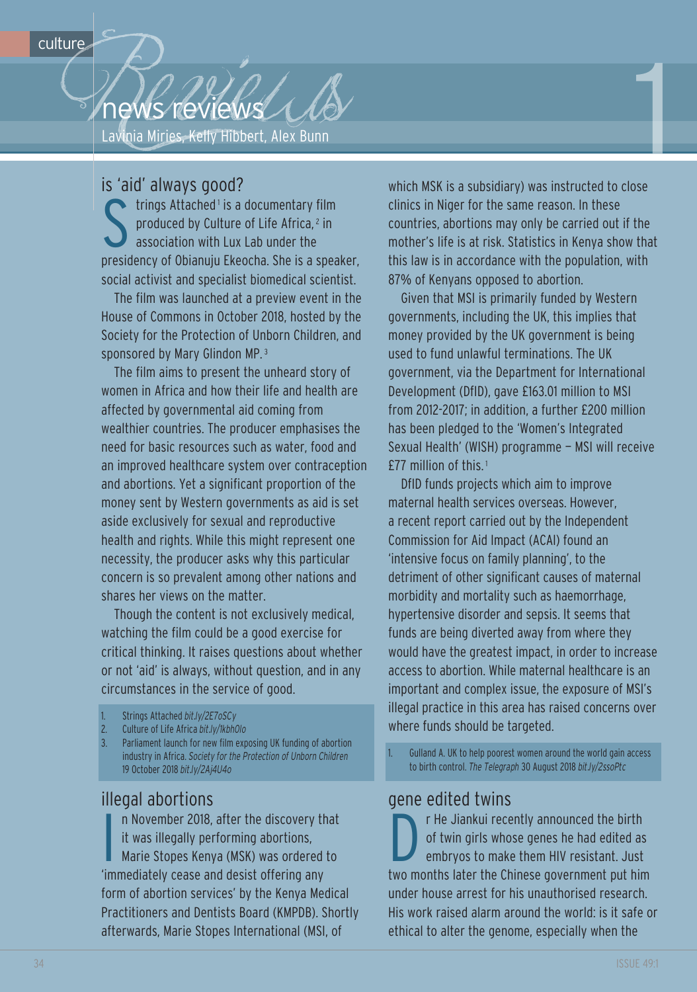Reviews 1999 news reviews

is 'aid' always good?<br>
trings Attached<sup>1</sup> is a<br>
produced by Culture<br>
association with Lux trings Attached<sup>1</sup> is a documentary film produced by culture of life Africa, <sup>2</sup> in association with lux lab under the presidency of Obianuju Ekeocha. She is a speaker, social activist and specialist biomedical scientist.

The film was launched at a preview event in the House of commons in October 2018, hosted by the Society for the Protection of Unborn children, and sponsored by Mary Glindon MP.<sup>3</sup>

The film aims to present the unheard story of women in Africa and how their life and health are affected by governmental aid coming from wealthier countries. The producer emphasises the need for basic resources such as water, food and an improved healthcare system over contraception and abortions. Yet a significant proportion of the money sent by Western governments as aid is set aside exclusively for sexual and reproductive health and rights. While this might represent one necessity, the producer asks why this particular concern is so prevalent among other nations and shares her views on the matter.

though the content is not exclusively medical, watching the film could be a good exercise for critical thinking. It raises questions about whether or not 'aid' is always, without question, and in any circumstances in the service of good.

- 1. Strings Attached *bit.ly/2E7oSCy*
- 2. culture of life Africa *bit.ly/1kbh0lo*
- 3. Parliament launch for new film exposing UK funding of abortion industry in Africa. *Society for the Protection of Unborn Children* 19 October 2018 *bit.ly/2Aj4U4o*

illegal abortions<br>
n November 2018,<br>
it was illegally per<br>
Marie Stopes Keny n november 2018, after the discovery that it was illegally performing abortions, Marie Stopes Kenya (MSK) was ordered to 'immediately cease and desist offering any form of abortion services' by the Kenya Medical Practitioners and Dentists Board (KMPDB). Shortly afterwards, Marie Stopes International (MSI, of

which MSK is a subsidiary) was instructed to close clinics in niger for the same reason. In these countries, abortions may only be carried out if the mother's life is at risk. Statistics in Kenya show that this law is in accordance with the population, with 87% of Kenyans opposed to abortion.

1

given that MSI is primarily funded by Western governments, including the UK, this implies that money provided by the UK government is being used to fund unlawful terminations. The UK government, via the Department for International Development (DfID), gave £163.01 million to MSI from 2012-2017; in addition, a further £200 million has been pledged to the 'Women's Integrated Sexual Health' (WISH) programme — MSI will receive £77 million of this. <sup>1</sup>

DfID funds projects which aim to improve maternal health services overseas. However, a recent report carried out by the Independent commission for Aid Impact (AcAI) found an 'intensive focus on family planning', to the detriment of other significant causes of maternal morbidity and mortality such as haemorrhage, hypertensive disorder and sepsis. It seems that funds are being diverted away from where they would have the greatest impact, in order to increase access to abortion. While maternal healthcare is an important and complex issue, the exposure of MSI's illegal practice in this area has raised concerns over where funds should be targeted.

1. Gulland A. UK to help poorest women around the world gain access to birth control. *The Telegraph* 30 August 2018 *bit.ly/2ssoPtc*

## gene edited twins

r He Jiankui recently announced the birth of twin girls whose genes he had edited as embryos to make them HIV resistant. Just two months later the chinese government put him under house arrest for his unauthorised research. His work raised alarm around the world: is it safe or ethical to alter the genome, especially when the